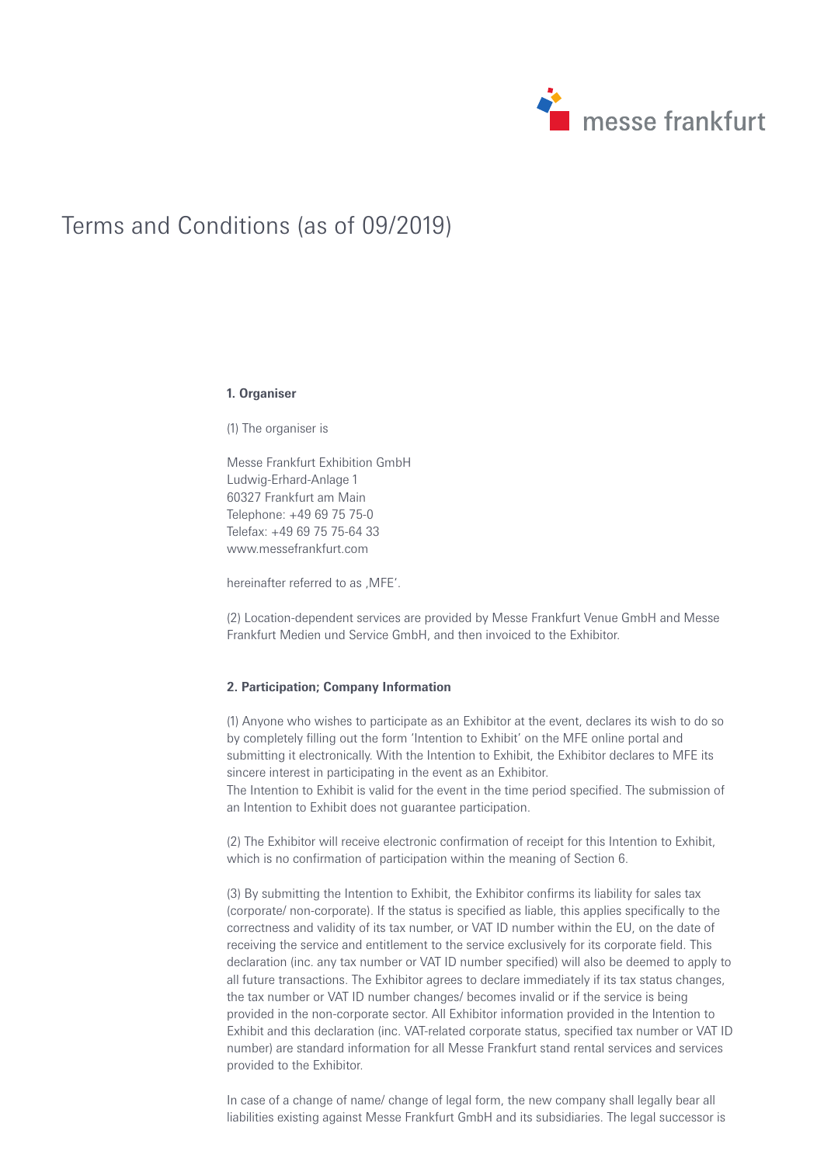

# Terms and Conditions (as of 09/2019)

#### **1. Organiser**

(1) The organiser is

Messe Frankfurt Exhibition GmbH Ludwig-Erhard-Anlage 1 60327 Frankfurt am Main Telephone: +49 69 75 75-0 Telefax: +49 69 75 75-64 33 www.messefrankfurt.com

hereinafter referred to as .MFE'.

(2) Location-dependent services are provided by Messe Frankfurt Venue GmbH and Messe Frankfurt Medien und Service GmbH, and then invoiced to the Exhibitor.

## **2. Participation; Company Information**

(1) Anyone who wishes to participate as an Exhibitor at the event, declares its wish to do so by completely filling out the form 'Intention to Exhibit' on the MFE online portal and submitting it electronically. With the Intention to Exhibit, the Exhibitor declares to MFE its sincere interest in participating in the event as an Exhibitor.

The Intention to Exhibit is valid for the event in the time period specified. The submission of an Intention to Exhibit does not guarantee participation.

(2) The Exhibitor will receive electronic confirmation of receipt for this Intention to Exhibit, which is no confirmation of participation within the meaning of Section 6.

(3) By submitting the Intention to Exhibit, the Exhibitor confirms its liability for sales tax (corporate/ non-corporate). If the status is specified as liable, this applies specifically to the correctness and validity of its tax number, or VAT ID number within the EU, on the date of receiving the service and entitlement to the service exclusively for its corporate field. This declaration (inc. any tax number or VAT ID number specified) will also be deemed to apply to all future transactions. The Exhibitor agrees to declare immediately if its tax status changes, the tax number or VAT ID number changes/ becomes invalid or if the service is being provided in the non-corporate sector. All Exhibitor information provided in the Intention to Exhibit and this declaration (inc. VAT-related corporate status, specified tax number or VAT ID number) are standard information for all Messe Frankfurt stand rental services and services provided to the Exhibitor.

In case of a change of name/ change of legal form, the new company shall legally bear all liabilities existing against Messe Frankfurt GmbH and its subsidiaries. The legal successor is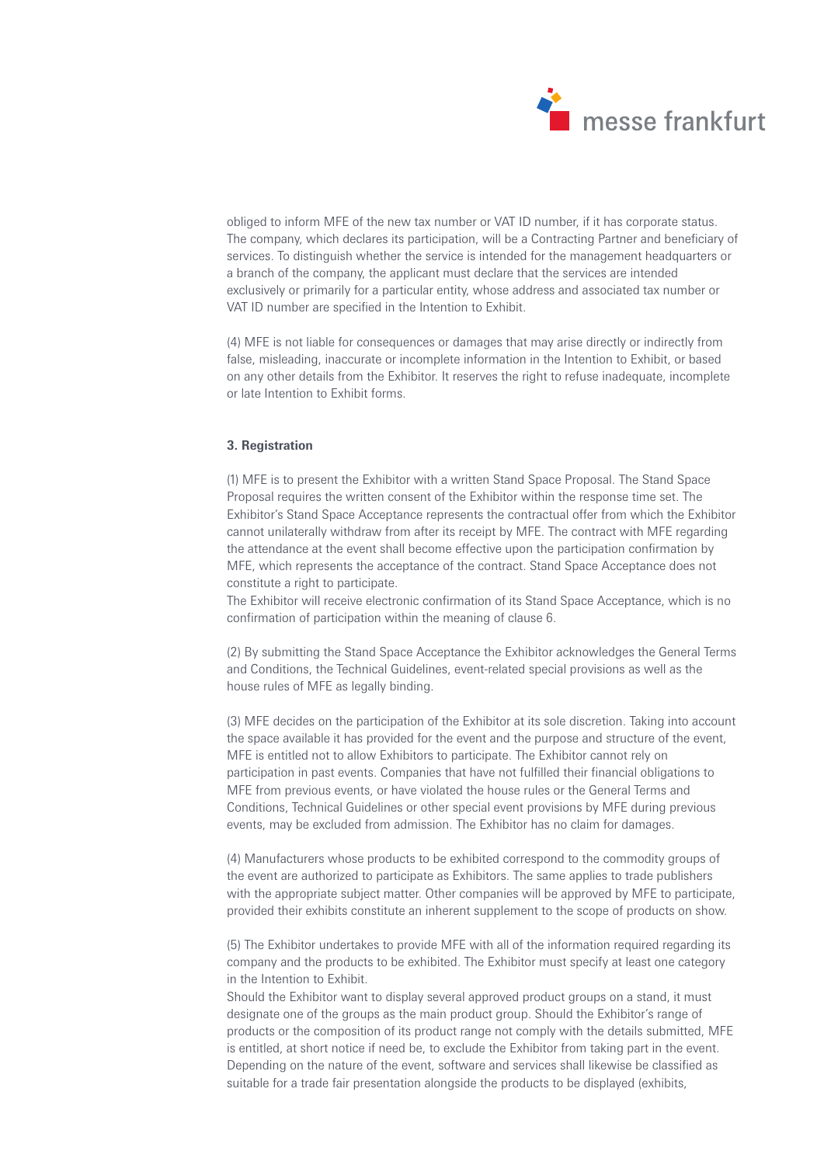

obliged to inform MFE of the new tax number or VAT ID number, if it has corporate status. The company, which declares its participation, will be a Contracting Partner and beneficiary of services. To distinguish whether the service is intended for the management headquarters or a branch of the company, the applicant must declare that the services are intended exclusively or primarily for a particular entity, whose address and associated tax number or VAT ID number are specified in the Intention to Exhibit.

(4) MFE is not liable for consequences or damages that may arise directly or indirectly from false, misleading, inaccurate or incomplete information in the Intention to Exhibit, or based on any other details from the Exhibitor. It reserves the right to refuse inadequate, incomplete or late Intention to Exhibit forms.

## **3. Registration**

(1) MFE is to present the Exhibitor with a written Stand Space Proposal. The Stand Space Proposal requires the written consent of the Exhibitor within the response time set. The Exhibitor's Stand Space Acceptance represents the contractual offer from which the Exhibitor cannot unilaterally withdraw from after its receipt by MFE. The contract with MFE regarding the attendance at the event shall become effective upon the participation confirmation by MFE, which represents the acceptance of the contract. Stand Space Acceptance does not constitute a right to participate.

The Exhibitor will receive electronic confirmation of its Stand Space Acceptance, which is no confirmation of participation within the meaning of clause 6.

(2) By submitting the Stand Space Acceptance the Exhibitor acknowledges the General Terms and Conditions, the Technical Guidelines, event-related special provisions as well as the house rules of MFE as legally binding.

(3) MFE decides on the participation of the Exhibitor at its sole discretion. Taking into account the space available it has provided for the event and the purpose and structure of the event, MFE is entitled not to allow Exhibitors to participate. The Exhibitor cannot rely on participation in past events. Companies that have not fulfilled their financial obligations to MFE from previous events, or have violated the house rules or the General Terms and Conditions, Technical Guidelines or other special event provisions by MFE during previous events, may be excluded from admission. The Exhibitor has no claim for damages.

(4) Manufacturers whose products to be exhibited correspond to the commodity groups of the event are authorized to participate as Exhibitors. The same applies to trade publishers with the appropriate subject matter. Other companies will be approved by MFE to participate, provided their exhibits constitute an inherent supplement to the scope of products on show.

(5) The Exhibitor undertakes to provide MFE with all of the information required regarding its company and the products to be exhibited. The Exhibitor must specify at least one category in the Intention to Exhibit.

Should the Exhibitor want to display several approved product groups on a stand, it must designate one of the groups as the main product group. Should the Exhibitor's range of products or the composition of its product range not comply with the details submitted, MFE is entitled, at short notice if need be, to exclude the Exhibitor from taking part in the event. Depending on the nature of the event, software and services shall likewise be classified as suitable for a trade fair presentation alongside the products to be displayed (exhibits,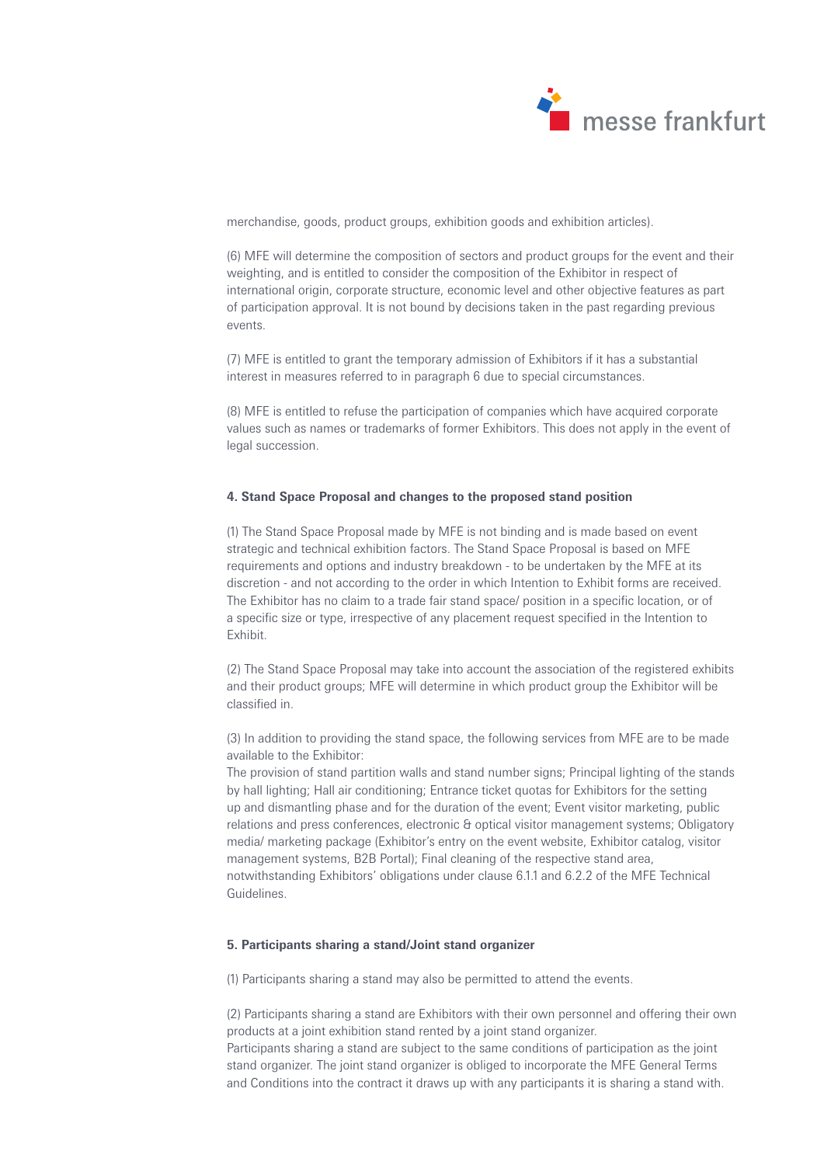

merchandise, goods, product groups, exhibition goods and exhibition articles).

(6) MFE will determine the composition of sectors and product groups for the event and their weighting, and is entitled to consider the composition of the Exhibitor in respect of international origin, corporate structure, economic level and other objective features as part of participation approval. It is not bound by decisions taken in the past regarding previous events.

(7) MFE is entitled to grant the temporary admission of Exhibitors if it has a substantial interest in measures referred to in paragraph 6 due to special circumstances.

(8) MFE is entitled to refuse the participation of companies which have acquired corporate values such as names or trademarks of former Exhibitors. This does not apply in the event of legal succession.

## **4. Stand Space Proposal and changes to the proposed stand position**

(1) The Stand Space Proposal made by MFE is not binding and is made based on event strategic and technical exhibition factors. The Stand Space Proposal is based on MFE requirements and options and industry breakdown - to be undertaken by the MFE at its discretion - and not according to the order in which Intention to Exhibit forms are received. The Exhibitor has no claim to a trade fair stand space/ position in a specific location, or of a specific size or type, irrespective of any placement request specified in the Intention to Exhibit.

(2) The Stand Space Proposal may take into account the association of the registered exhibits and their product groups; MFE will determine in which product group the Exhibitor will be classified in.

(3) In addition to providing the stand space, the following services from MFE are to be made available to the Exhibitor:

The provision of stand partition walls and stand number signs; Principal lighting of the stands by hall lighting; Hall air conditioning; Entrance ticket quotas for Exhibitors for the setting up and dismantling phase and for the duration of the event; Event visitor marketing, public relations and press conferences, electronic & optical visitor management systems; Obligatory media/ marketing package (Exhibitor's entry on the event website, Exhibitor catalog, visitor management systems, B2B Portal); Final cleaning of the respective stand area, notwithstanding Exhibitors' obligations under clause 6.1.1 and 6.2.2 of the MFE Technical Guidelines.

# **5. Participants sharing a stand/Joint stand organizer**

(1) Participants sharing a stand may also be permitted to attend the events.

(2) Participants sharing a stand are Exhibitors with their own personnel and offering their own products at a joint exhibition stand rented by a joint stand organizer.

Participants sharing a stand are subject to the same conditions of participation as the joint stand organizer. The joint stand organizer is obliged to incorporate the MFE General Terms and Conditions into the contract it draws up with any participants it is sharing a stand with.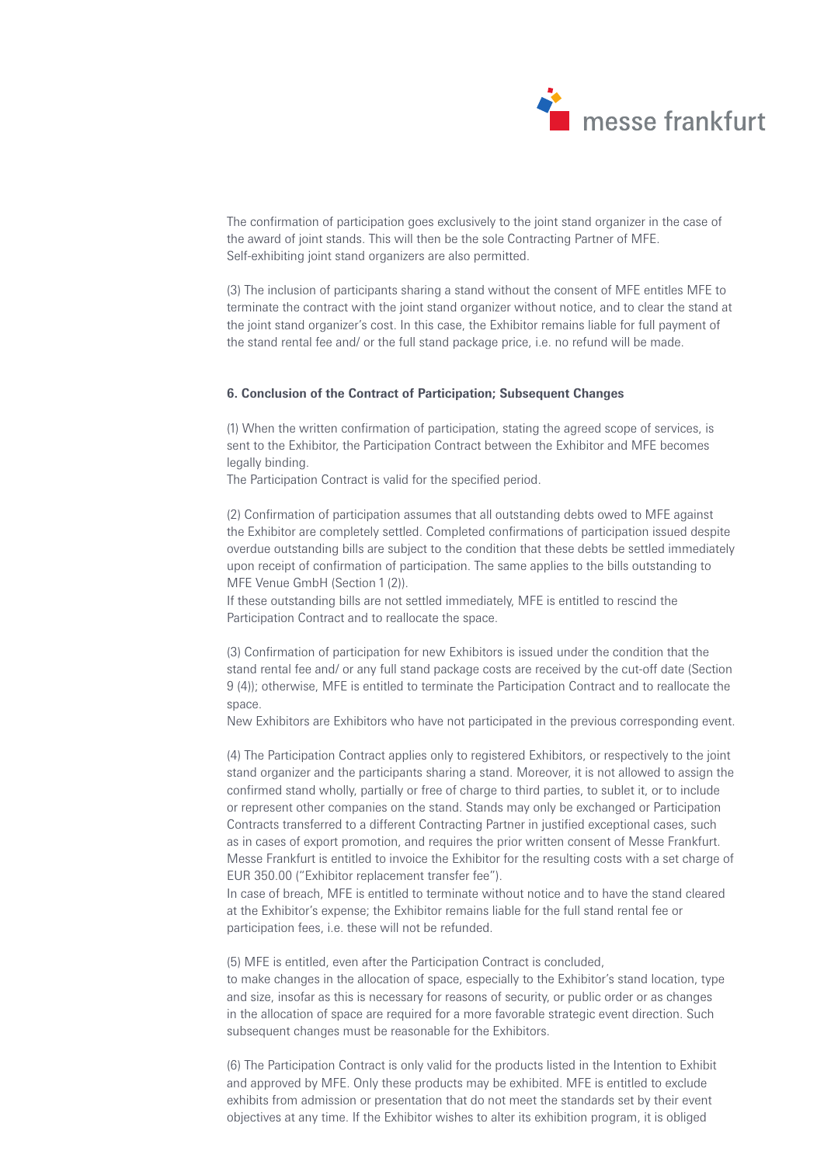

The confirmation of participation goes exclusively to the joint stand organizer in the case of the award of joint stands. This will then be the sole Contracting Partner of MFE. Self-exhibiting joint stand organizers are also permitted.

(3) The inclusion of participants sharing a stand without the consent of MFE entitles MFE to terminate the contract with the joint stand organizer without notice, and to clear the stand at the joint stand organizer's cost. In this case, the Exhibitor remains liable for full payment of the stand rental fee and/ or the full stand package price, i.e. no refund will be made.

## **6. Conclusion of the Contract of Participation; Subsequent Changes**

(1) When the written confirmation of participation, stating the agreed scope of services, is sent to the Exhibitor, the Participation Contract between the Exhibitor and MFE becomes legally binding.

The Participation Contract is valid for the specified period.

(2) Confirmation of participation assumes that all outstanding debts owed to MFE against the Exhibitor are completely settled. Completed confirmations of participation issued despite overdue outstanding bills are subject to the condition that these debts be settled immediately upon receipt of confirmation of participation. The same applies to the bills outstanding to MFE Venue GmbH (Section 1 (2)).

If these outstanding bills are not settled immediately, MFE is entitled to rescind the Participation Contract and to reallocate the space.

(3) Confirmation of participation for new Exhibitors is issued under the condition that the stand rental fee and/ or any full stand package costs are received by the cut-off date (Section 9 (4)); otherwise, MFE is entitled to terminate the Participation Contract and to reallocate the space.

New Exhibitors are Exhibitors who have not participated in the previous corresponding event.

(4) The Participation Contract applies only to registered Exhibitors, or respectively to the joint stand organizer and the participants sharing a stand. Moreover, it is not allowed to assign the confirmed stand wholly, partially or free of charge to third parties, to sublet it, or to include or represent other companies on the stand. Stands may only be exchanged or Participation Contracts transferred to a different Contracting Partner in justified exceptional cases, such as in cases of export promotion, and requires the prior written consent of Messe Frankfurt. Messe Frankfurt is entitled to invoice the Exhibitor for the resulting costs with a set charge of EUR 350.00 ("Exhibitor replacement transfer fee").

In case of breach, MFE is entitled to terminate without notice and to have the stand cleared at the Exhibitor's expense; the Exhibitor remains liable for the full stand rental fee or participation fees, i.e. these will not be refunded.

(5) MFE is entitled, even after the Participation Contract is concluded, to make changes in the allocation of space, especially to the Exhibitor's stand location, type and size, insofar as this is necessary for reasons of security, or public order or as changes in the allocation of space are required for a more favorable strategic event direction. Such subsequent changes must be reasonable for the Exhibitors.

(6) The Participation Contract is only valid for the products listed in the Intention to Exhibit and approved by MFE. Only these products may be exhibited. MFE is entitled to exclude exhibits from admission or presentation that do not meet the standards set by their event objectives at any time. If the Exhibitor wishes to alter its exhibition program, it is obliged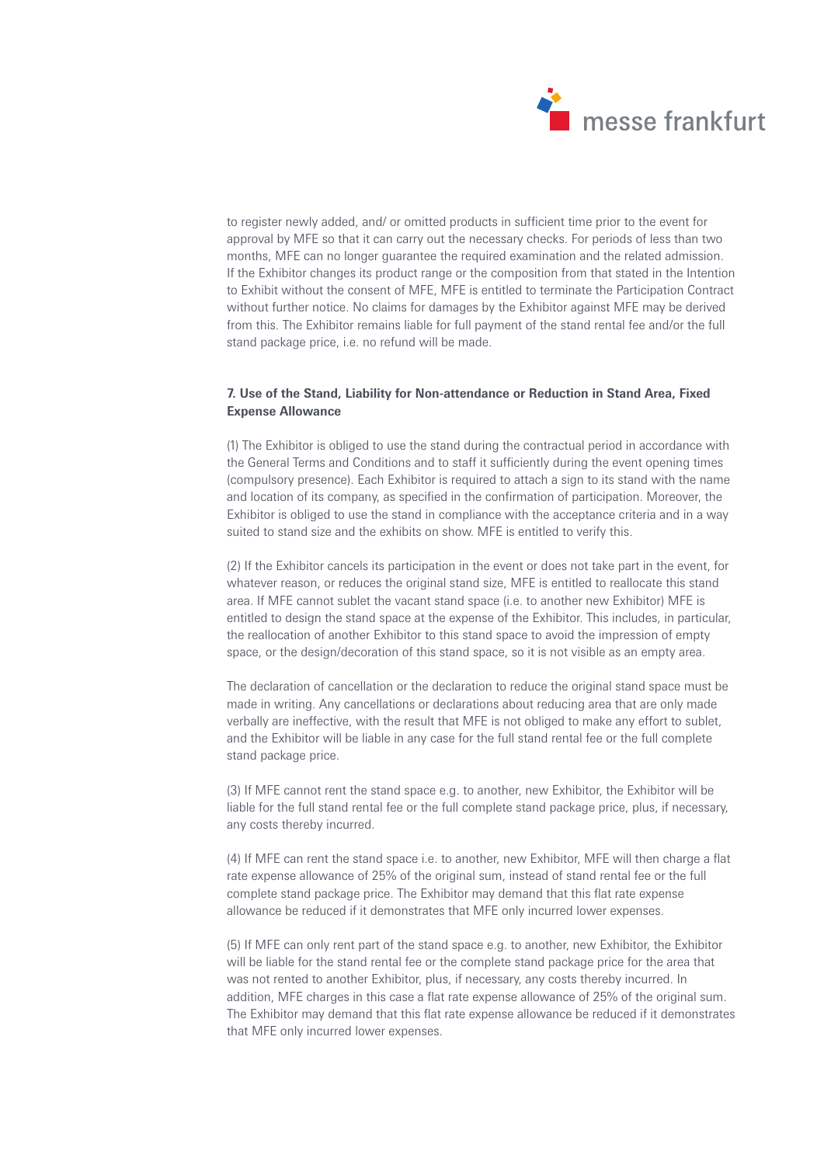

to register newly added, and/ or omitted products in sufficient time prior to the event for approval by MFE so that it can carry out the necessary checks. For periods of less than two months, MFE can no longer guarantee the required examination and the related admission. If the Exhibitor changes its product range or the composition from that stated in the Intention to Exhibit without the consent of MFE, MFE is entitled to terminate the Participation Contract without further notice. No claims for damages by the Exhibitor against MFE may be derived from this. The Exhibitor remains liable for full payment of the stand rental fee and/or the full stand package price, i.e. no refund will be made.

# **7. Use of the Stand, Liability for Non-attendance or Reduction in Stand Area, Fixed Expense Allowance**

(1) The Exhibitor is obliged to use the stand during the contractual period in accordance with the General Terms and Conditions and to staff it sufficiently during the event opening times (compulsory presence). Each Exhibitor is required to attach a sign to its stand with the name and location of its company, as specified in the confirmation of participation. Moreover, the Exhibitor is obliged to use the stand in compliance with the acceptance criteria and in a way suited to stand size and the exhibits on show. MFE is entitled to verify this.

(2) If the Exhibitor cancels its participation in the event or does not take part in the event, for whatever reason, or reduces the original stand size, MFE is entitled to reallocate this stand area. If MFE cannot sublet the vacant stand space (i.e. to another new Exhibitor) MFE is entitled to design the stand space at the expense of the Exhibitor. This includes, in particular, the reallocation of another Exhibitor to this stand space to avoid the impression of empty space, or the design/decoration of this stand space, so it is not visible as an empty area.

The declaration of cancellation or the declaration to reduce the original stand space must be made in writing. Any cancellations or declarations about reducing area that are only made verbally are ineffective, with the result that MFE is not obliged to make any effort to sublet, and the Exhibitor will be liable in any case for the full stand rental fee or the full complete stand package price.

(3) If MFE cannot rent the stand space e.g. to another, new Exhibitor, the Exhibitor will be liable for the full stand rental fee or the full complete stand package price, plus, if necessary, any costs thereby incurred.

(4) If MFE can rent the stand space i.e. to another, new Exhibitor, MFE will then charge a flat rate expense allowance of 25% of the original sum, instead of stand rental fee or the full complete stand package price. The Exhibitor may demand that this flat rate expense allowance be reduced if it demonstrates that MFE only incurred lower expenses.

(5) If MFE can only rent part of the stand space e.g. to another, new Exhibitor, the Exhibitor will be liable for the stand rental fee or the complete stand package price for the area that was not rented to another Exhibitor, plus, if necessary, any costs thereby incurred. In addition, MFE charges in this case a flat rate expense allowance of 25% of the original sum. The Exhibitor may demand that this flat rate expense allowance be reduced if it demonstrates that MFE only incurred lower expenses.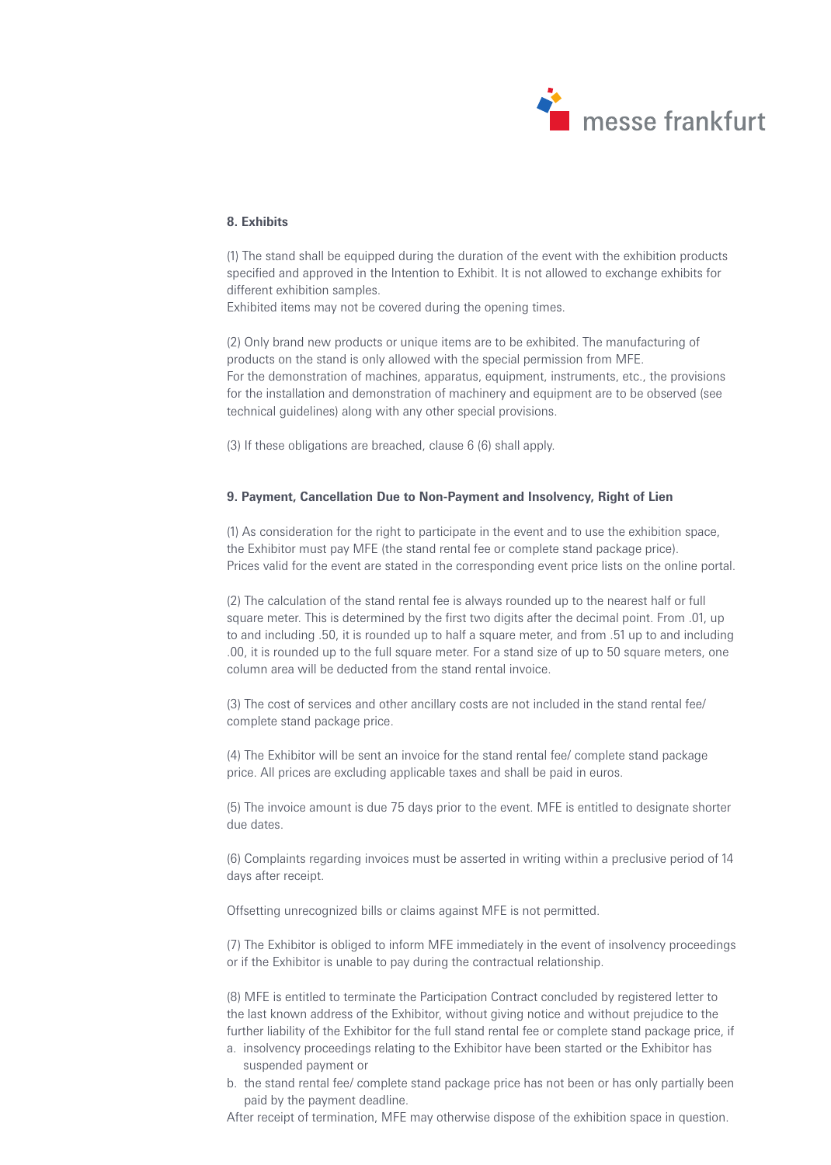

# **8. Exhibits**

(1) The stand shall be equipped during the duration of the event with the exhibition products specified and approved in the Intention to Exhibit. It is not allowed to exchange exhibits for different exhibition samples.

Exhibited items may not be covered during the opening times.

(2) Only brand new products or unique items are to be exhibited. The manufacturing of products on the stand is only allowed with the special permission from MFE. For the demonstration of machines, apparatus, equipment, instruments, etc., the provisions for the installation and demonstration of machinery and equipment are to be observed (see technical guidelines) along with any other special provisions.

(3) If these obligations are breached, clause 6 (6) shall apply.

## **9. Payment, Cancellation Due to Non-Payment and Insolvency, Right of Lien**

(1) As consideration for the right to participate in the event and to use the exhibition space, the Exhibitor must pay MFE (the stand rental fee or complete stand package price). Prices valid for the event are stated in the corresponding event price lists on the online portal.

(2) The calculation of the stand rental fee is always rounded up to the nearest half or full square meter. This is determined by the first two digits after the decimal point. From .01, up to and including .50, it is rounded up to half a square meter, and from .51 up to and including .00, it is rounded up to the full square meter. For a stand size of up to 50 square meters, one column area will be deducted from the stand rental invoice.

(3) The cost of services and other ancillary costs are not included in the stand rental fee/ complete stand package price.

(4) The Exhibitor will be sent an invoice for the stand rental fee/ complete stand package price. All prices are excluding applicable taxes and shall be paid in euros.

(5) The invoice amount is due 75 days prior to the event. MFE is entitled to designate shorter due dates.

(6) Complaints regarding invoices must be asserted in writing within a preclusive period of 14 days after receipt.

Offsetting unrecognized bills or claims against MFE is not permitted.

(7) The Exhibitor is obliged to inform MFE immediately in the event of insolvency proceedings or if the Exhibitor is unable to pay during the contractual relationship.

(8) MFE is entitled to terminate the Participation Contract concluded by registered letter to the last known address of the Exhibitor, without giving notice and without prejudice to the further liability of the Exhibitor for the full stand rental fee or complete stand package price, if

- a. insolvency proceedings relating to the Exhibitor have been started or the Exhibitor has suspended payment or
- b. the stand rental fee/ complete stand package price has not been or has only partially been paid by the payment deadline.

After receipt of termination, MFE may otherwise dispose of the exhibition space in question.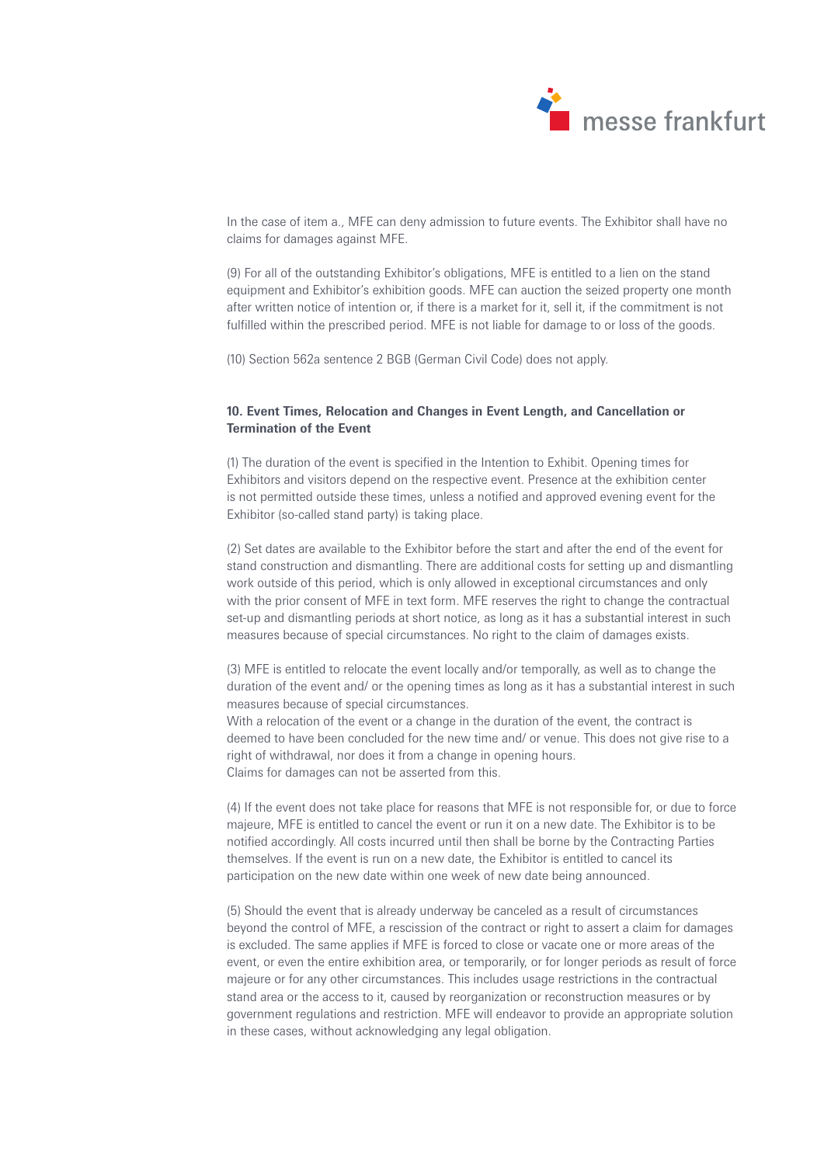

In the case of item a., MFE can deny admission to future events. The Exhibitor shall have no claims for damages against MFE.

(9) For all of the outstanding Exhibitor's obligations, MFE is entitled to a lien on the stand equipment and Exhibitor's exhibition goods. MFE can auction the seized property one month after written notice of intention or, if there is a market for it, sell it, if the commitment is not fulfilled within the prescribed period. MFE is not liable for damage to or loss of the goods.

(10) Section 562a sentence 2 BGB (German Civil Code) does not apply.

# **10. Event Times, Relocation and Changes in Event Length, and Cancellation or Termination of the Event**

(1) The duration of the event is specified in the Intention to Exhibit. Opening times for Exhibitors and visitors depend on the respective event. Presence at the exhibition center is not permitted outside these times, unless a notified and approved evening event for the Exhibitor (so-called stand party) is taking place.

(2) Set dates are available to the Exhibitor before the start and after the end of the event for stand construction and dismantling. There are additional costs for setting up and dismantling work outside of this period, which is only allowed in exceptional circumstances and only with the prior consent of MFE in text form. MFE reserves the right to change the contractual set-up and dismantling periods at short notice, as long as it has a substantial interest in such measures because of special circumstances. No right to the claim of damages exists.

(3) MFE is entitled to relocate the event locally and/or temporally, as well as to change the duration of the event and/ or the opening times as long as it has a substantial interest in such measures because of special circumstances. With a relocation of the event or a change in the duration of the event, the contract is deemed to have been concluded for the new time and/ or venue. This does not give rise to a right of withdrawal, nor does it from a change in opening hours. Claims for damages can not be asserted from this.

(4) If the event does not take place for reasons that MFE is not responsible for, or due to force majeure, MFE is entitled to cancel the event or run it on a new date. The Exhibitor is to be notified accordingly. All costs incurred until then shall be borne by the Contracting Parties themselves. If the event is run on a new date, the Exhibitor is entitled to cancel its participation on the new date within one week of new date being announced.

(5) Should the event that is already underway be canceled as a result of circumstances beyond the control of MFE, a rescission of the contract or right to assert a claim for damages is excluded. The same applies if MFE is forced to close or vacate one or more areas of the event, or even the entire exhibition area, or temporarily, or for longer periods as result of force majeure or for any other circumstances. This includes usage restrictions in the contractual stand area or the access to it, caused by reorganization or reconstruction measures or by government regulations and restriction. MFE will endeavor to provide an appropriate solution in these cases, without acknowledging any legal obligation.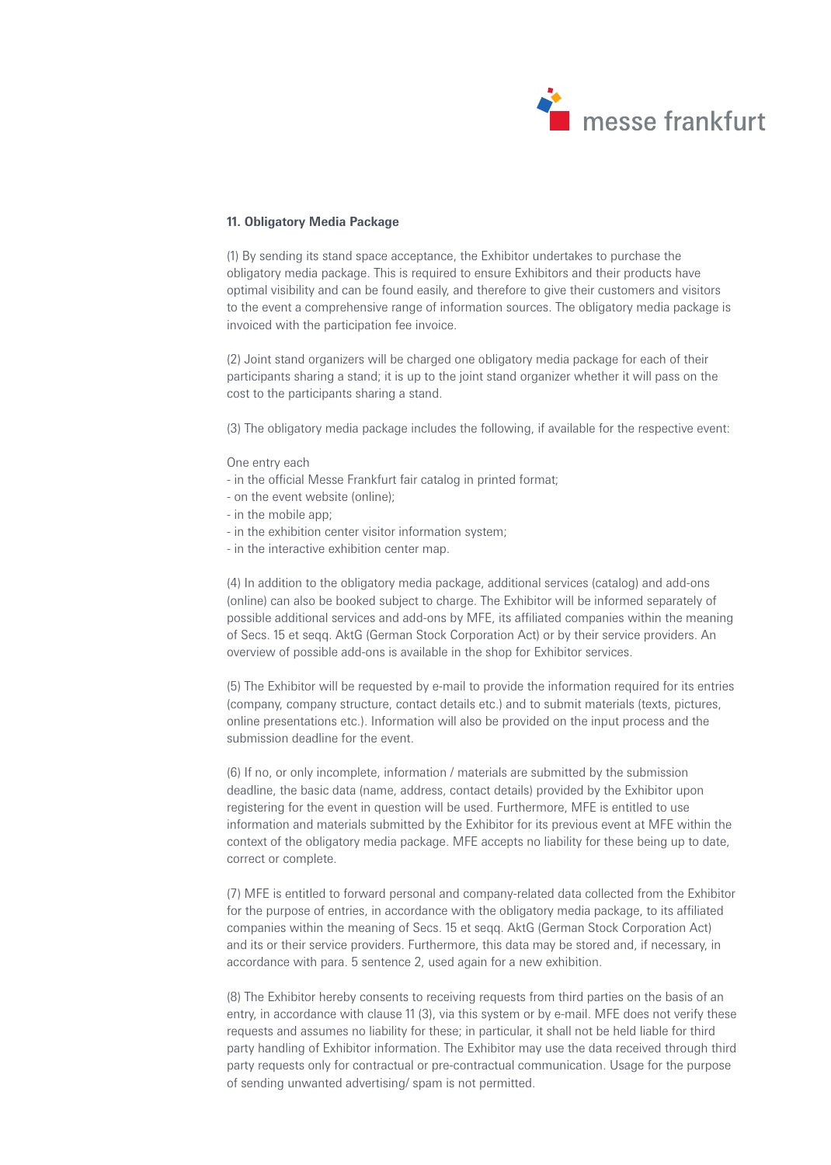

## **11. Obligatory Media Package**

(1) By sending its stand space acceptance, the Exhibitor undertakes to purchase the obligatory media package. This is required to ensure Exhibitors and their products have optimal visibility and can be found easily, and therefore to give their customers and visitors to the event a comprehensive range of information sources. The obligatory media package is invoiced with the participation fee invoice.

(2) Joint stand organizers will be charged one obligatory media package for each of their participants sharing a stand; it is up to the joint stand organizer whether it will pass on the cost to the participants sharing a stand.

(3) The obligatory media package includes the following, if available for the respective event:

## One entry each

- in the official Messe Frankfurt fair catalog in printed format;
- on the event website (online);
- in the mobile app;
- in the exhibition center visitor information system;
- in the interactive exhibition center map.

(4) In addition to the obligatory media package, additional services (catalog) and add-ons (online) can also be booked subject to charge. The Exhibitor will be informed separately of possible additional services and add-ons by MFE, its affiliated companies within the meaning of Secs. 15 et seqq. AktG (German Stock Corporation Act) or by their service providers. An overview of possible add-ons is available in the shop for Exhibitor services.

(5) The Exhibitor will be requested by e-mail to provide the information required for its entries (company, company structure, contact details etc.) and to submit materials (texts, pictures, online presentations etc.). Information will also be provided on the input process and the submission deadline for the event.

(6) If no, or only incomplete, information / materials are submitted by the submission deadline, the basic data (name, address, contact details) provided by the Exhibitor upon registering for the event in question will be used. Furthermore, MFE is entitled to use information and materials submitted by the Exhibitor for its previous event at MFE within the context of the obligatory media package. MFE accepts no liability for these being up to date, correct or complete.

(7) MFE is entitled to forward personal and company-related data collected from the Exhibitor for the purpose of entries, in accordance with the obligatory media package, to its affiliated companies within the meaning of Secs. 15 et seqq. AktG (German Stock Corporation Act) and its or their service providers. Furthermore, this data may be stored and, if necessary, in accordance with para. 5 sentence 2, used again for a new exhibition.

(8) The Exhibitor hereby consents to receiving requests from third parties on the basis of an entry, in accordance with clause 11 (3), via this system or by e-mail. MFE does not verify these requests and assumes no liability for these; in particular, it shall not be held liable for third party handling of Exhibitor information. The Exhibitor may use the data received through third party requests only for contractual or pre-contractual communication. Usage for the purpose of sending unwanted advertising/ spam is not permitted.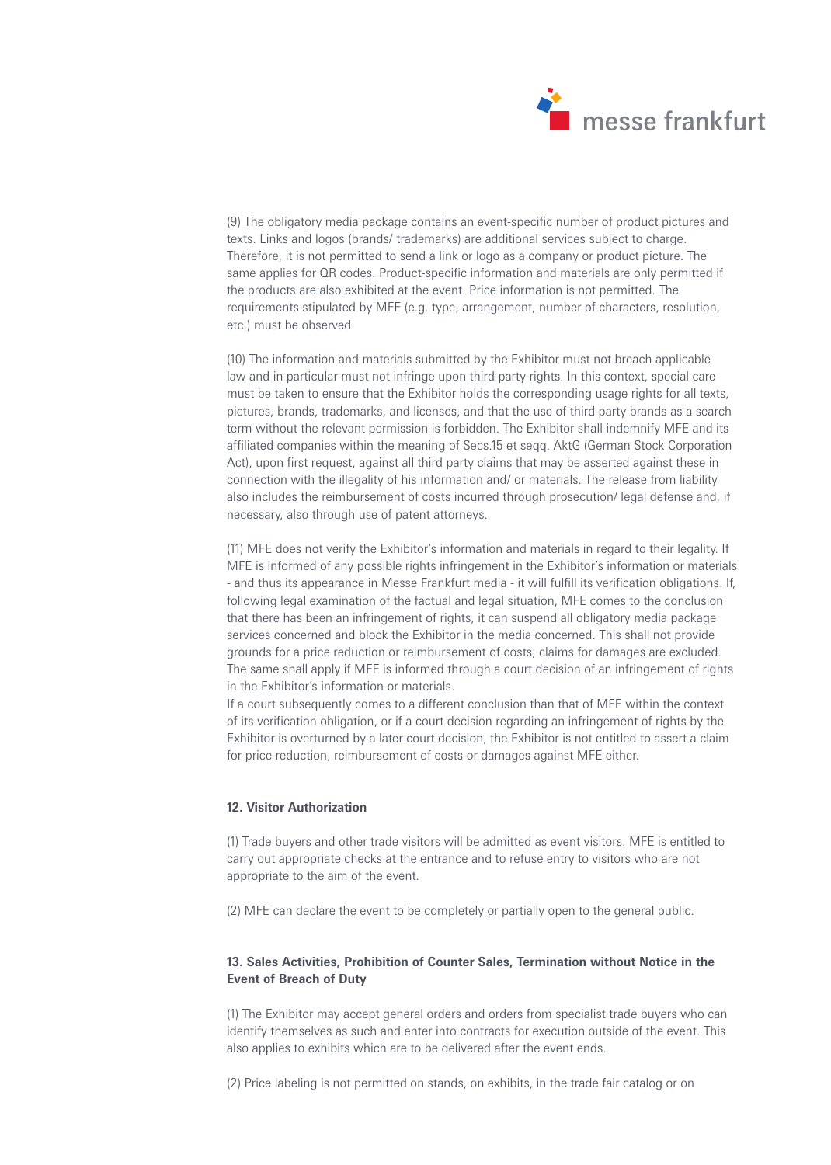

(9) The obligatory media package contains an event-specific number of product pictures and texts. Links and logos (brands/ trademarks) are additional services subject to charge. Therefore, it is not permitted to send a link or logo as a company or product picture. The same applies for QR codes. Product-specific information and materials are only permitted if the products are also exhibited at the event. Price information is not permitted. The requirements stipulated by MFE (e.g. type, arrangement, number of characters, resolution, etc.) must be observed.

(10) The information and materials submitted by the Exhibitor must not breach applicable law and in particular must not infringe upon third party rights. In this context, special care must be taken to ensure that the Exhibitor holds the corresponding usage rights for all texts, pictures, brands, trademarks, and licenses, and that the use of third party brands as a search term without the relevant permission is forbidden. The Exhibitor shall indemnify MFE and its affiliated companies within the meaning of Secs.15 et seqq. AktG (German Stock Corporation Act), upon first request, against all third party claims that may be asserted against these in connection with the illegality of his information and/ or materials. The release from liability also includes the reimbursement of costs incurred through prosecution/ legal defense and, if necessary, also through use of patent attorneys.

(11) MFE does not verify the Exhibitor's information and materials in regard to their legality. If MFE is informed of any possible rights infringement in the Exhibitor's information or materials - and thus its appearance in Messe Frankfurt media - it will fulfill its verification obligations. If, following legal examination of the factual and legal situation, MFE comes to the conclusion that there has been an infringement of rights, it can suspend all obligatory media package services concerned and block the Exhibitor in the media concerned. This shall not provide grounds for a price reduction or reimbursement of costs; claims for damages are excluded. The same shall apply if MFE is informed through a court decision of an infringement of rights in the Exhibitor's information or materials.

If a court subsequently comes to a different conclusion than that of MFE within the context of its verification obligation, or if a court decision regarding an infringement of rights by the Exhibitor is overturned by a later court decision, the Exhibitor is not entitled to assert a claim for price reduction, reimbursement of costs or damages against MFE either.

## **12. Visitor Authorization**

(1) Trade buyers and other trade visitors will be admitted as event visitors. MFE is entitled to carry out appropriate checks at the entrance and to refuse entry to visitors who are not appropriate to the aim of the event.

(2) MFE can declare the event to be completely or partially open to the general public.

# **13. Sales Activities, Prohibition of Counter Sales, Termination without Notice in the Event of Breach of Duty**

(1) The Exhibitor may accept general orders and orders from specialist trade buyers who can identify themselves as such and enter into contracts for execution outside of the event. This also applies to exhibits which are to be delivered after the event ends.

(2) Price labeling is not permitted on stands, on exhibits, in the trade fair catalog or on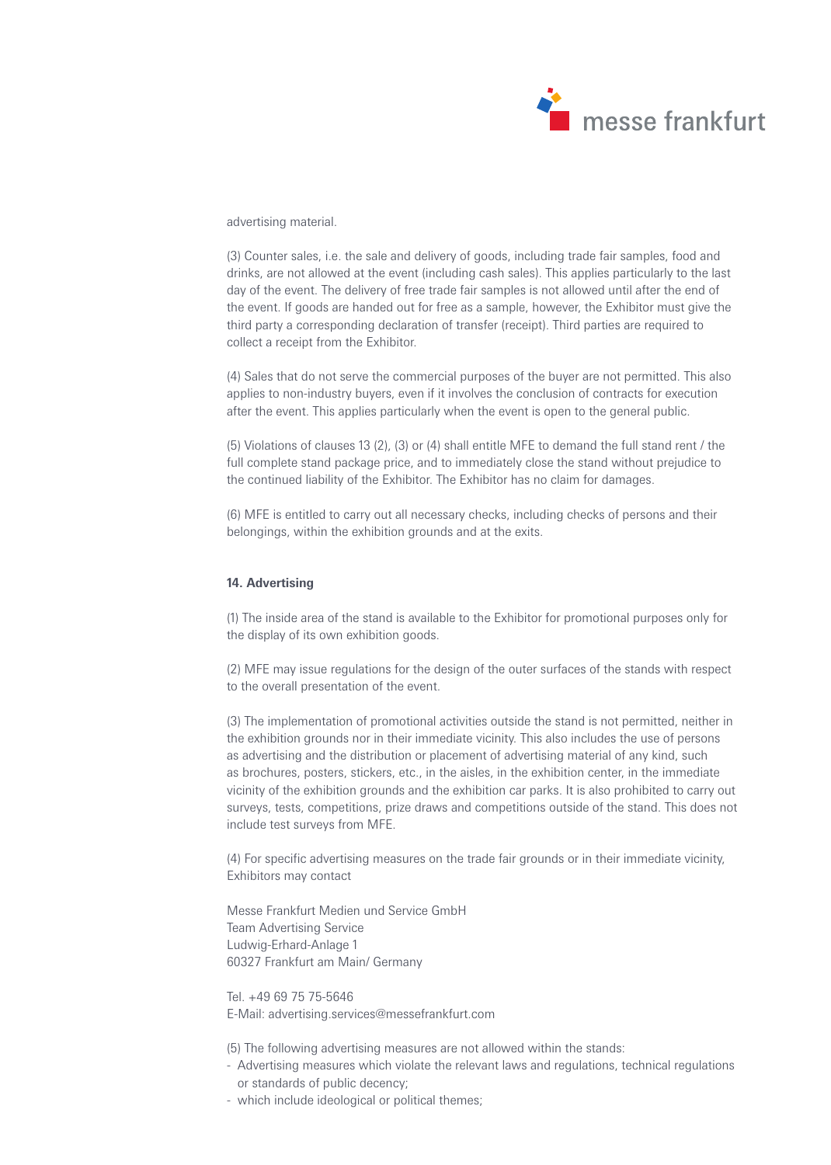

### advertising material.

(3) Counter sales, i.e. the sale and delivery of goods, including trade fair samples, food and drinks, are not allowed at the event (including cash sales). This applies particularly to the last day of the event. The delivery of free trade fair samples is not allowed until after the end of the event. If goods are handed out for free as a sample, however, the Exhibitor must give the third party a corresponding declaration of transfer (receipt). Third parties are required to collect a receipt from the Exhibitor.

(4) Sales that do not serve the commercial purposes of the buyer are not permitted. This also applies to non-industry buyers, even if it involves the conclusion of contracts for execution after the event. This applies particularly when the event is open to the general public.

(5) Violations of clauses 13 (2), (3) or (4) shall entitle MFE to demand the full stand rent / the full complete stand package price, and to immediately close the stand without prejudice to the continued liability of the Exhibitor. The Exhibitor has no claim for damages.

(6) MFE is entitled to carry out all necessary checks, including checks of persons and their belongings, within the exhibition grounds and at the exits.

#### **14. Advertising**

(1) The inside area of the stand is available to the Exhibitor for promotional purposes only for the display of its own exhibition goods.

(2) MFE may issue regulations for the design of the outer surfaces of the stands with respect to the overall presentation of the event.

(3) The implementation of promotional activities outside the stand is not permitted, neither in the exhibition grounds nor in their immediate vicinity. This also includes the use of persons as advertising and the distribution or placement of advertising material of any kind, such as brochures, posters, stickers, etc., in the aisles, in the exhibition center, in the immediate vicinity of the exhibition grounds and the exhibition car parks. It is also prohibited to carry out surveys, tests, competitions, prize draws and competitions outside of the stand. This does not include test surveys from MFE.

(4) For specific advertising measures on the trade fair grounds or in their immediate vicinity, Exhibitors may contact

Messe Frankfurt Medien und Service GmbH Team Advertising Service Ludwig-Erhard-Anlage 1 60327 Frankfurt am Main/ Germany

Tel. +49 69 75 75-5646 E-Mail: advertising.services@messefrankfurt.com

(5) The following advertising measures are not allowed within the stands:

- Advertising measures which violate the relevant laws and regulations, technical regulations or standards of public decency;
- which include ideological or political themes;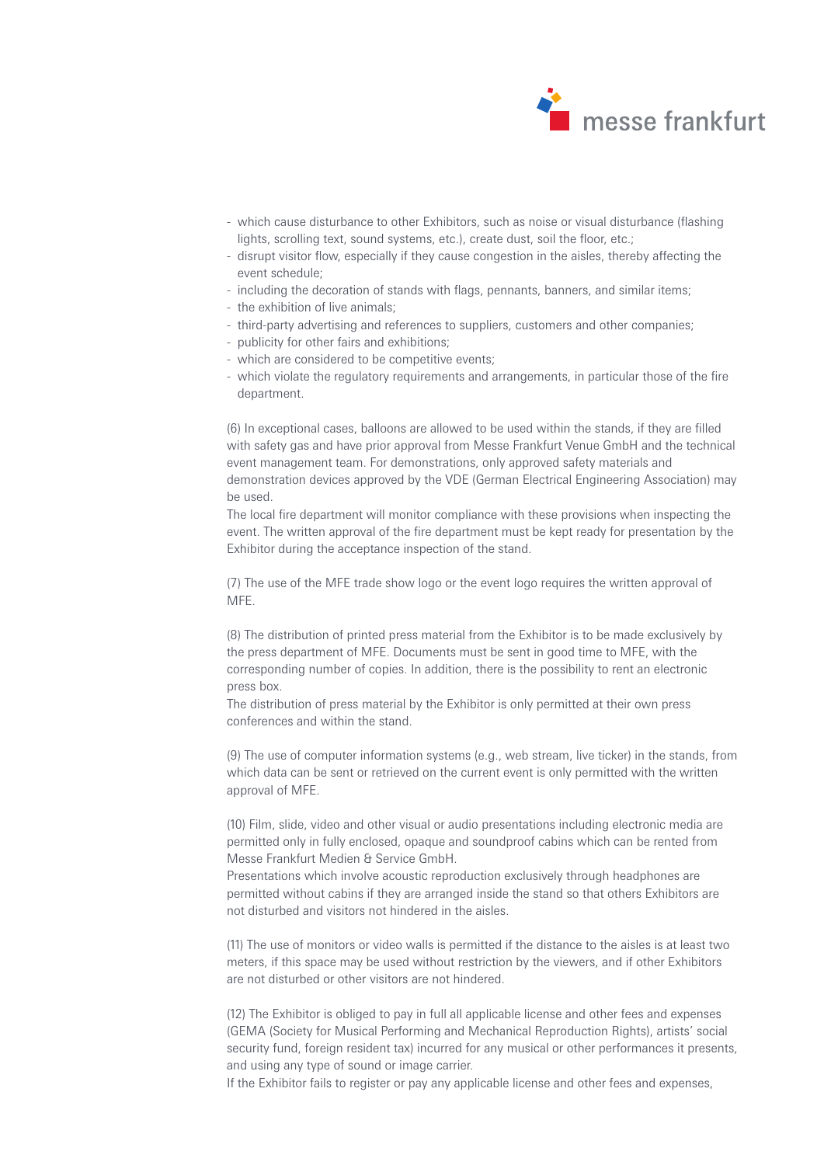

- which cause disturbance to other Exhibitors, such as noise or visual disturbance (flashing lights, scrolling text, sound systems, etc.), create dust, soil the floor, etc.;
- disrupt visitor flow, especially if they cause congestion in the aisles, thereby affecting the event schedule;
- including the decoration of stands with flags, pennants, banners, and similar items;
- the exhibition of live animals;
- third-party advertising and references to suppliers, customers and other companies;
- publicity for other fairs and exhibitions;
- which are considered to be competitive events;
- which violate the regulatory requirements and arrangements, in particular those of the fire department.

(6) In exceptional cases, balloons are allowed to be used within the stands, if they are filled with safety gas and have prior approval from Messe Frankfurt Venue GmbH and the technical event management team. For demonstrations, only approved safety materials and demonstration devices approved by the VDE (German Electrical Engineering Association) may be used.

The local fire department will monitor compliance with these provisions when inspecting the event. The written approval of the fire department must be kept ready for presentation by the Exhibitor during the acceptance inspection of the stand.

(7) The use of the MFE trade show logo or the event logo requires the written approval of MFE.

(8) The distribution of printed press material from the Exhibitor is to be made exclusively by the press department of MFE. Documents must be sent in good time to MFE, with the corresponding number of copies. In addition, there is the possibility to rent an electronic press box.

The distribution of press material by the Exhibitor is only permitted at their own press conferences and within the stand.

(9) The use of computer information systems (e.g., web stream, live ticker) in the stands, from which data can be sent or retrieved on the current event is only permitted with the written approval of MFE.

(10) Film, slide, video and other visual or audio presentations including electronic media are permitted only in fully enclosed, opaque and soundproof cabins which can be rented from Messe Frankfurt Medien & Service GmbH.

Presentations which involve acoustic reproduction exclusively through headphones are permitted without cabins if they are arranged inside the stand so that others Exhibitors are not disturbed and visitors not hindered in the aisles.

(11) The use of monitors or video walls is permitted if the distance to the aisles is at least two meters, if this space may be used without restriction by the viewers, and if other Exhibitors are not disturbed or other visitors are not hindered.

(12) The Exhibitor is obliged to pay in full all applicable license and other fees and expenses (GEMA (Society for Musical Performing and Mechanical Reproduction Rights), artists' social security fund, foreign resident tax) incurred for any musical or other performances it presents, and using any type of sound or image carrier.

If the Exhibitor fails to register or pay any applicable license and other fees and expenses,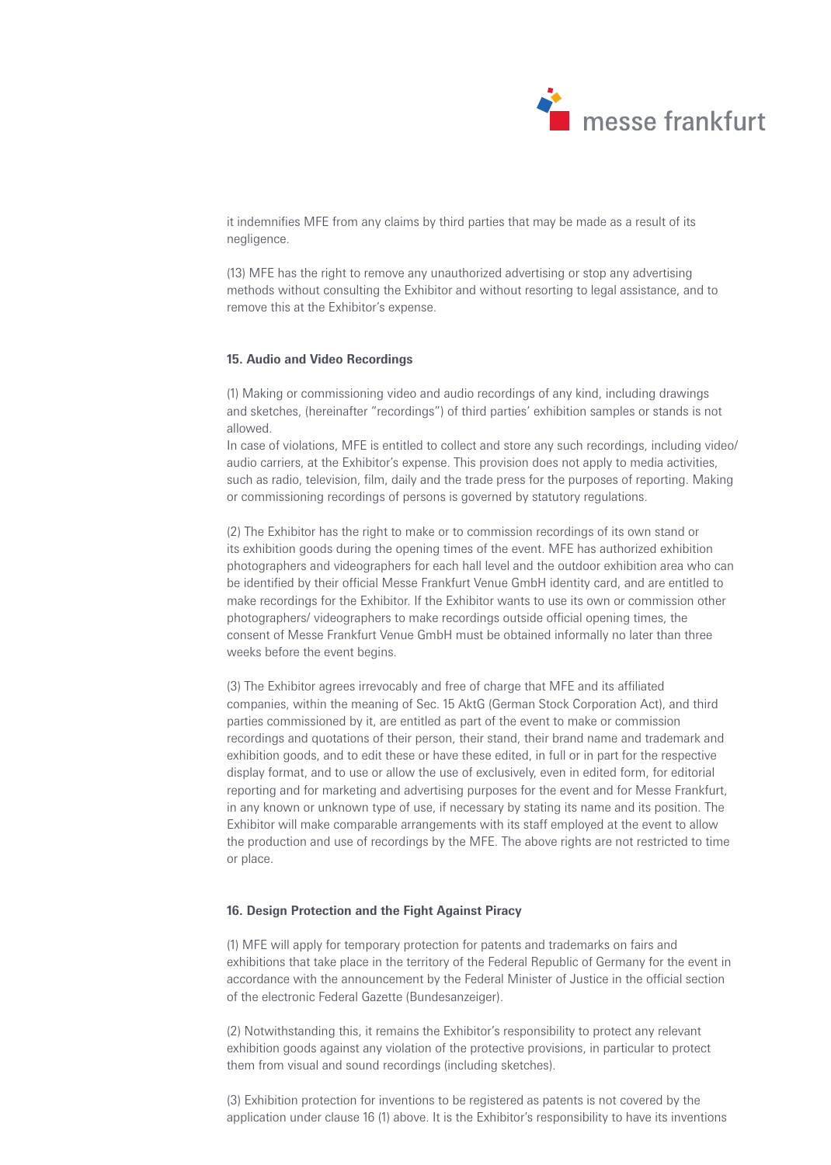

it indemnifies MFE from any claims by third parties that may be made as a result of its negligence.

(13) MFE has the right to remove any unauthorized advertising or stop any advertising methods without consulting the Exhibitor and without resorting to legal assistance, and to remove this at the Exhibitor's expense.

## **15. Audio and Video Recordings**

(1) Making or commissioning video and audio recordings of any kind, including drawings and sketches, (hereinafter "recordings") of third parties' exhibition samples or stands is not allowed.

In case of violations, MFE is entitled to collect and store any such recordings, including video/ audio carriers, at the Exhibitor's expense. This provision does not apply to media activities, such as radio, television, film, daily and the trade press for the purposes of reporting. Making or commissioning recordings of persons is governed by statutory regulations.

(2) The Exhibitor has the right to make or to commission recordings of its own stand or its exhibition goods during the opening times of the event. MFE has authorized exhibition photographers and videographers for each hall level and the outdoor exhibition area who can be identified by their official Messe Frankfurt Venue GmbH identity card, and are entitled to make recordings for the Exhibitor. If the Exhibitor wants to use its own or commission other photographers/ videographers to make recordings outside official opening times, the consent of Messe Frankfurt Venue GmbH must be obtained informally no later than three weeks before the event begins.

(3) The Exhibitor agrees irrevocably and free of charge that MFE and its affiliated companies, within the meaning of Sec. 15 AktG (German Stock Corporation Act), and third parties commissioned by it, are entitled as part of the event to make or commission recordings and quotations of their person, their stand, their brand name and trademark and exhibition goods, and to edit these or have these edited, in full or in part for the respective display format, and to use or allow the use of exclusively, even in edited form, for editorial reporting and for marketing and advertising purposes for the event and for Messe Frankfurt, in any known or unknown type of use, if necessary by stating its name and its position. The Exhibitor will make comparable arrangements with its staff employed at the event to allow the production and use of recordings by the MFE. The above rights are not restricted to time or place.

## **16. Design Protection and the Fight Against Piracy**

(1) MFE will apply for temporary protection for patents and trademarks on fairs and exhibitions that take place in the territory of the Federal Republic of Germany for the event in accordance with the announcement by the Federal Minister of Justice in the official section of the electronic Federal Gazette (Bundesanzeiger).

(2) Notwithstanding this, it remains the Exhibitor's responsibility to protect any relevant exhibition goods against any violation of the protective provisions, in particular to protect them from visual and sound recordings (including sketches).

(3) Exhibition protection for inventions to be registered as patents is not covered by the application under clause 16 (1) above. It is the Exhibitor's responsibility to have its inventions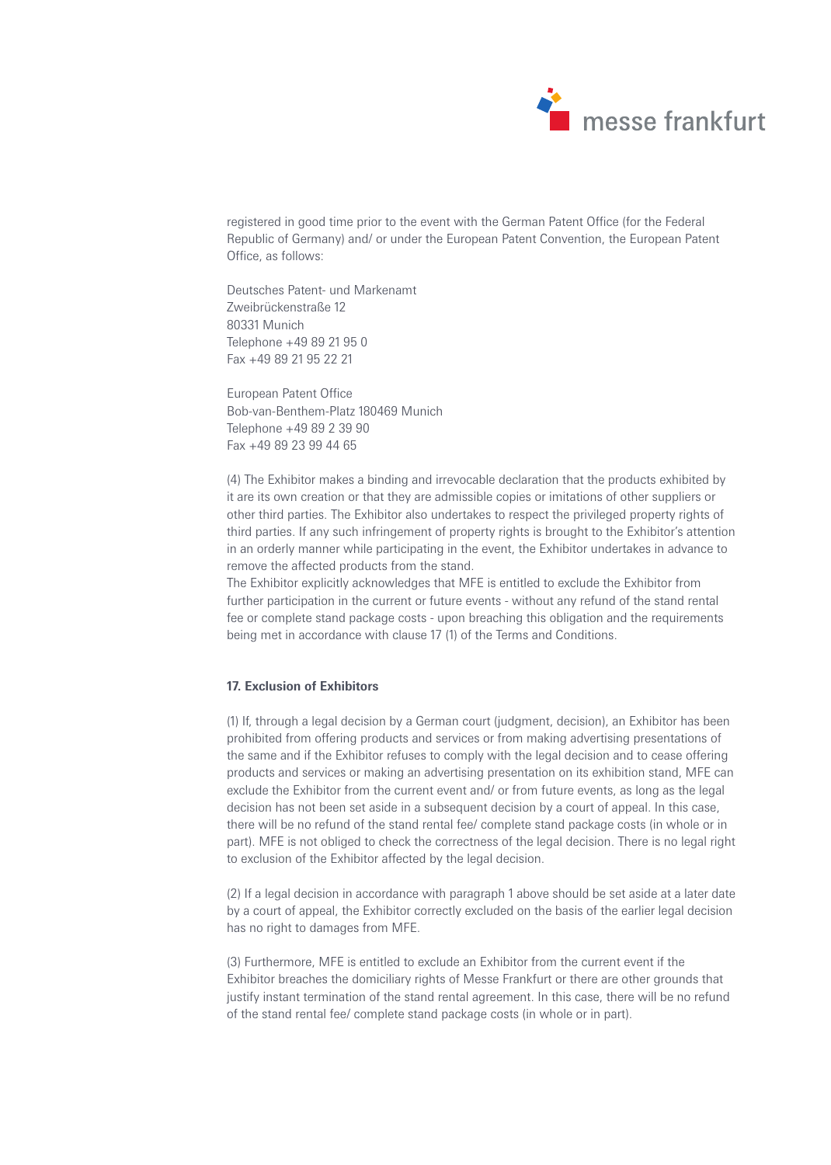

registered in good time prior to the event with the German Patent Office (for the Federal Republic of Germany) and/ or under the European Patent Convention, the European Patent Office, as follows:

Deutsches Patent- und Markenamt Zweibrückenstraße 12 80331 Munich Telephone +49 89 21 95 0 Fax +49 89 21 95 22 21

European Patent Office Bob-van-Benthem-Platz 180469 Munich Telephone +49 89 2 39 90 Fax +49 89 23 99 44 65

(4) The Exhibitor makes a binding and irrevocable declaration that the products exhibited by it are its own creation or that they are admissible copies or imitations of other suppliers or other third parties. The Exhibitor also undertakes to respect the privileged property rights of third parties. If any such infringement of property rights is brought to the Exhibitor's attention in an orderly manner while participating in the event, the Exhibitor undertakes in advance to remove the affected products from the stand.

The Exhibitor explicitly acknowledges that MFE is entitled to exclude the Exhibitor from further participation in the current or future events - without any refund of the stand rental fee or complete stand package costs - upon breaching this obligation and the requirements being met in accordance with clause 17 (1) of the Terms and Conditions.

# **17. Exclusion of Exhibitors**

(1) If, through a legal decision by a German court (judgment, decision), an Exhibitor has been prohibited from offering products and services or from making advertising presentations of the same and if the Exhibitor refuses to comply with the legal decision and to cease offering products and services or making an advertising presentation on its exhibition stand, MFE can exclude the Exhibitor from the current event and/ or from future events, as long as the legal decision has not been set aside in a subsequent decision by a court of appeal. In this case, there will be no refund of the stand rental fee/ complete stand package costs (in whole or in part). MFE is not obliged to check the correctness of the legal decision. There is no legal right to exclusion of the Exhibitor affected by the legal decision.

(2) If a legal decision in accordance with paragraph 1 above should be set aside at a later date by a court of appeal, the Exhibitor correctly excluded on the basis of the earlier legal decision has no right to damages from MFE.

(3) Furthermore, MFE is entitled to exclude an Exhibitor from the current event if the Exhibitor breaches the domiciliary rights of Messe Frankfurt or there are other grounds that justify instant termination of the stand rental agreement. In this case, there will be no refund of the stand rental fee/ complete stand package costs (in whole or in part).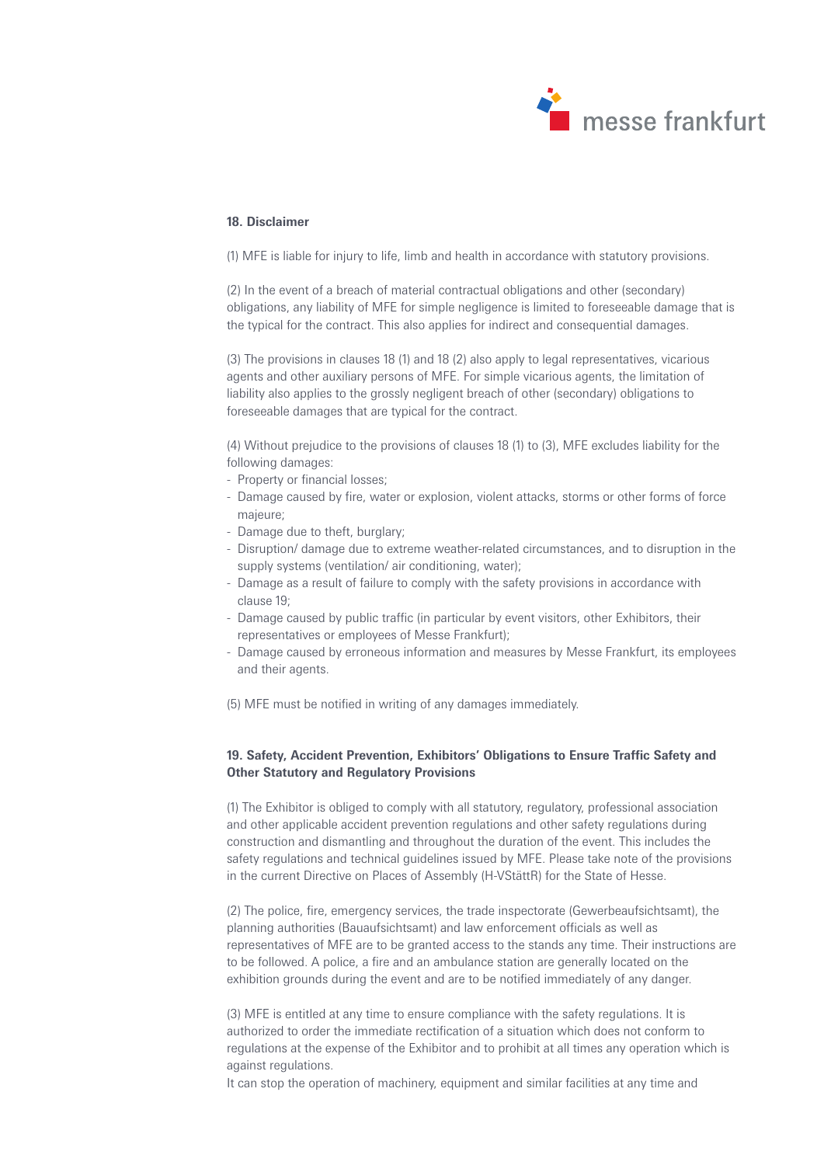

## **18. Disclaimer**

(1) MFE is liable for injury to life, limb and health in accordance with statutory provisions.

(2) In the event of a breach of material contractual obligations and other (secondary) obligations, any liability of MFE for simple negligence is limited to foreseeable damage that is the typical for the contract. This also applies for indirect and consequential damages.

(3) The provisions in clauses 18 (1) and 18 (2) also apply to legal representatives, vicarious agents and other auxiliary persons of MFE. For simple vicarious agents, the limitation of liability also applies to the grossly negligent breach of other (secondary) obligations to foreseeable damages that are typical for the contract.

(4) Without prejudice to the provisions of clauses 18 (1) to (3), MFE excludes liability for the following damages:

- Property or financial losses;
- Damage caused by fire, water or explosion, violent attacks, storms or other forms of force majeure;
- Damage due to theft, burglary;
- Disruption/ damage due to extreme weather-related circumstances, and to disruption in the supply systems (ventilation/ air conditioning, water);
- Damage as a result of failure to comply with the safety provisions in accordance with clause 19;
- Damage caused by public traffic (in particular by event visitors, other Exhibitors, their representatives or employees of Messe Frankfurt);
- Damage caused by erroneous information and measures by Messe Frankfurt, its employees and their agents.

(5) MFE must be notified in writing of any damages immediately.

# **19. Safety, Accident Prevention, Exhibitors' Obligations to Ensure Traffic Safety and Other Statutory and Regulatory Provisions**

(1) The Exhibitor is obliged to comply with all statutory, regulatory, professional association and other applicable accident prevention regulations and other safety regulations during construction and dismantling and throughout the duration of the event. This includes the safety regulations and technical guidelines issued by MFE. Please take note of the provisions in the current Directive on Places of Assembly (H-VStättR) for the State of Hesse.

(2) The police, fire, emergency services, the trade inspectorate (Gewerbeaufsichtsamt), the planning authorities (Bauaufsichtsamt) and law enforcement officials as well as representatives of MFE are to be granted access to the stands any time. Their instructions are to be followed. A police, a fire and an ambulance station are generally located on the exhibition grounds during the event and are to be notified immediately of any danger.

(3) MFE is entitled at any time to ensure compliance with the safety regulations. It is authorized to order the immediate rectification of a situation which does not conform to regulations at the expense of the Exhibitor and to prohibit at all times any operation which is against regulations.

It can stop the operation of machinery, equipment and similar facilities at any time and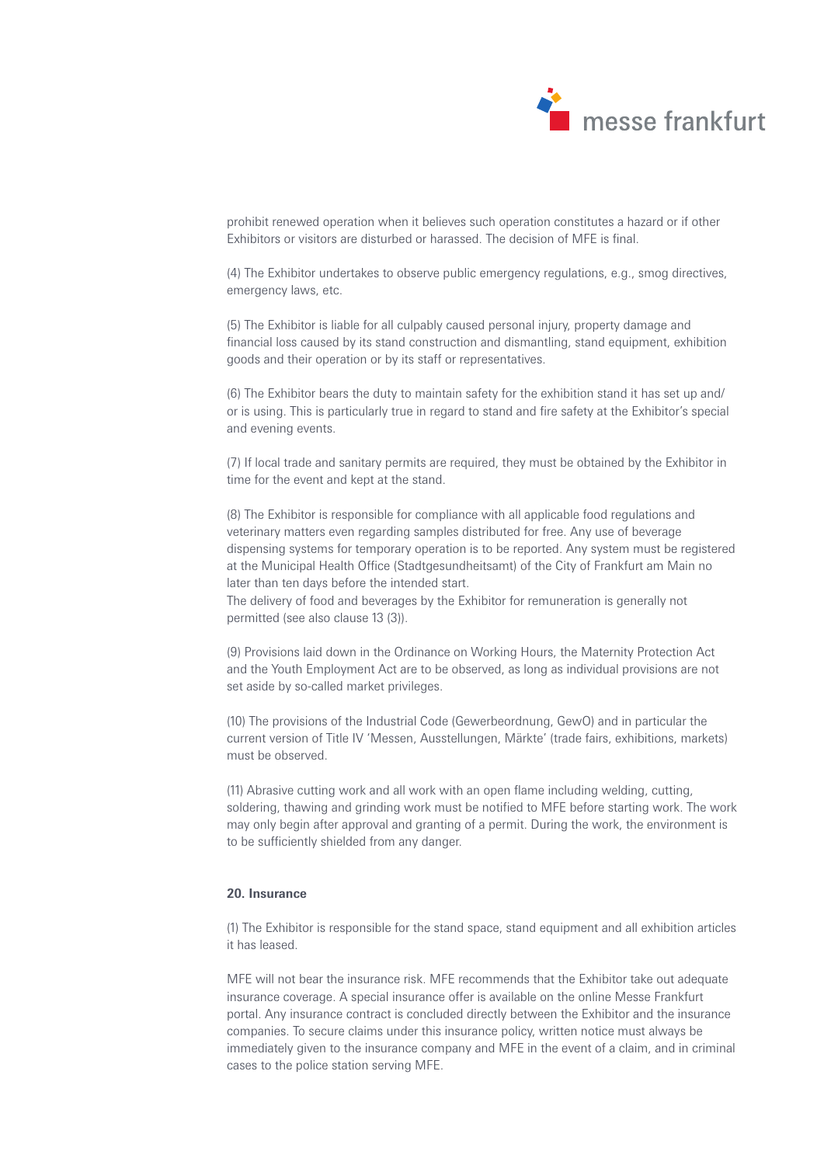

prohibit renewed operation when it believes such operation constitutes a hazard or if other Exhibitors or visitors are disturbed or harassed. The decision of MFE is final.

(4) The Exhibitor undertakes to observe public emergency regulations, e.g., smog directives, emergency laws, etc.

(5) The Exhibitor is liable for all culpably caused personal injury, property damage and financial loss caused by its stand construction and dismantling, stand equipment, exhibition goods and their operation or by its staff or representatives.

(6) The Exhibitor bears the duty to maintain safety for the exhibition stand it has set up and/ or is using. This is particularly true in regard to stand and fire safety at the Exhibitor's special and evening events.

(7) If local trade and sanitary permits are required, they must be obtained by the Exhibitor in time for the event and kept at the stand.

(8) The Exhibitor is responsible for compliance with all applicable food regulations and veterinary matters even regarding samples distributed for free. Any use of beverage dispensing systems for temporary operation is to be reported. Any system must be registered at the Municipal Health Office (Stadtgesundheitsamt) of the City of Frankfurt am Main no later than ten days before the intended start.

The delivery of food and beverages by the Exhibitor for remuneration is generally not permitted (see also clause 13 (3)).

(9) Provisions laid down in the Ordinance on Working Hours, the Maternity Protection Act and the Youth Employment Act are to be observed, as long as individual provisions are not set aside by so-called market privileges.

(10) The provisions of the Industrial Code (Gewerbeordnung, GewO) and in particular the current version of Title IV 'Messen, Ausstellungen, Märkte' (trade fairs, exhibitions, markets) must be observed.

(11) Abrasive cutting work and all work with an open flame including welding, cutting, soldering, thawing and grinding work must be notified to MFE before starting work. The work may only begin after approval and granting of a permit. During the work, the environment is to be sufficiently shielded from any danger.

# **20. Insurance**

(1) The Exhibitor is responsible for the stand space, stand equipment and all exhibition articles it has leased.

MFE will not bear the insurance risk. MFE recommends that the Exhibitor take out adequate insurance coverage. A special insurance offer is available on the online Messe Frankfurt portal. Any insurance contract is concluded directly between the Exhibitor and the insurance companies. To secure claims under this insurance policy, written notice must always be immediately given to the insurance company and MFE in the event of a claim, and in criminal cases to the police station serving MFE.